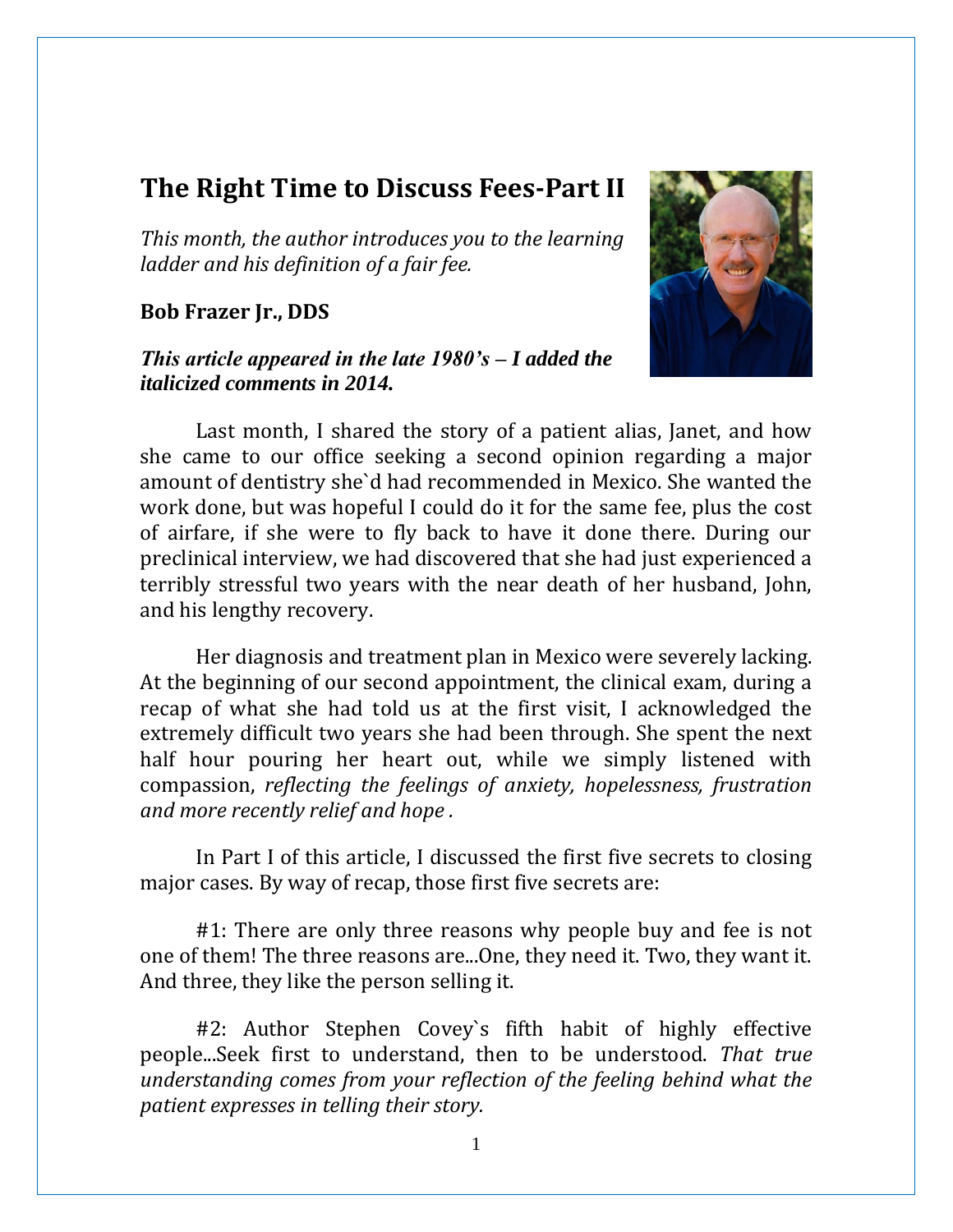# **The Right Time to Discuss Fees-Part II**

*This month, the author introduces you to the learning ladder and his definition of a fair fee.*

### **Bob Frazer Jr., DDS**

## *This article appeared in the late 1980's – I added the italicized comments in 2014.*



Last month, I shared the story of a patient alias, Janet, and how she came to our office seeking a second opinion regarding a major amount of dentistry she`d had recommended in Mexico. She wanted the work done, but was hopeful I could do it for the same fee, plus the cost of airfare, if she were to fly back to have it done there. During our preclinical interview, we had discovered that she had just experienced a terribly stressful two years with the near death of her husband, John, and his lengthy recovery.

Her diagnosis and treatment plan in Mexico were severely lacking. At the beginning of our second appointment, the clinical exam, during a recap of what she had told us at the first visit, I acknowledged the extremely difficult two years she had been through. She spent the next half hour pouring her heart out, while we simply listened with compassion, *reflecting the feelings of anxiety, hopelessness, frustration and more recently relief and hope .*

In Part I of this article, I discussed the first five secrets to closing major cases. By way of recap, those first five secrets are:

#1: There are only three reasons why people buy and fee is not one of them! The three reasons are...One, they need it. Two, they want it. And three, they like the person selling it.

#2: Author Stephen Covey`s fifth habit of highly effective people...Seek first to understand, then to be understood. *That true understanding comes from your reflection of the feeling behind what the patient expresses in telling their story.*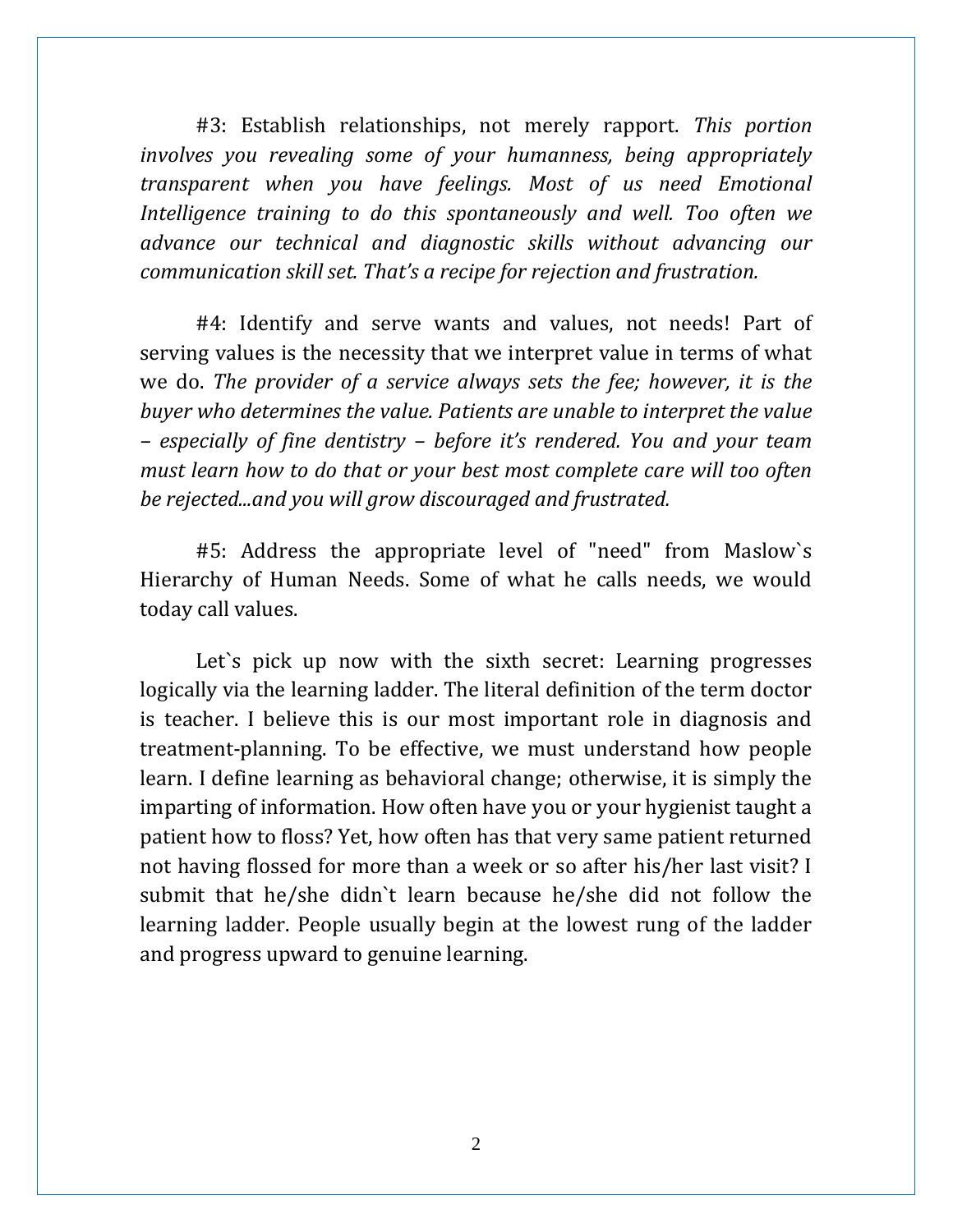#3: Establish relationships, not merely rapport. *This portion involves you revealing some of your humanness, being appropriately transparent when you have feelings. Most of us need Emotional Intelligence training to do this spontaneously and well. Too often we advance our technical and diagnostic skills without advancing our communication skill set. That's a recipe for rejection and frustration.* 

#4: Identify and serve wants and values, not needs! Part of serving values is the necessity that we interpret value in terms of what we do. *The provider of a service always sets the fee; however, it is the buyer who determines the value. Patients are unable to interpret the value – especially of fine dentistry – before it's rendered. You and your team must learn how to do that or your best most complete care will too often be rejected...and you will grow discouraged and frustrated.*

#5: Address the appropriate level of "need" from Maslow`s Hierarchy of Human Needs. Some of what he calls needs, we would today call values.

Let's pick up now with the sixth secret: Learning progresses logically via the learning ladder. The literal definition of the term doctor is teacher. I believe this is our most important role in diagnosis and treatment-planning. To be effective, we must understand how people learn. I define learning as behavioral change; otherwise, it is simply the imparting of information. How often have you or your hygienist taught a patient how to floss? Yet, how often has that very same patient returned not having flossed for more than a week or so after his/her last visit? I submit that he/she didn`t learn because he/she did not follow the learning ladder. People usually begin at the lowest rung of the ladder and progress upward to genuine learning.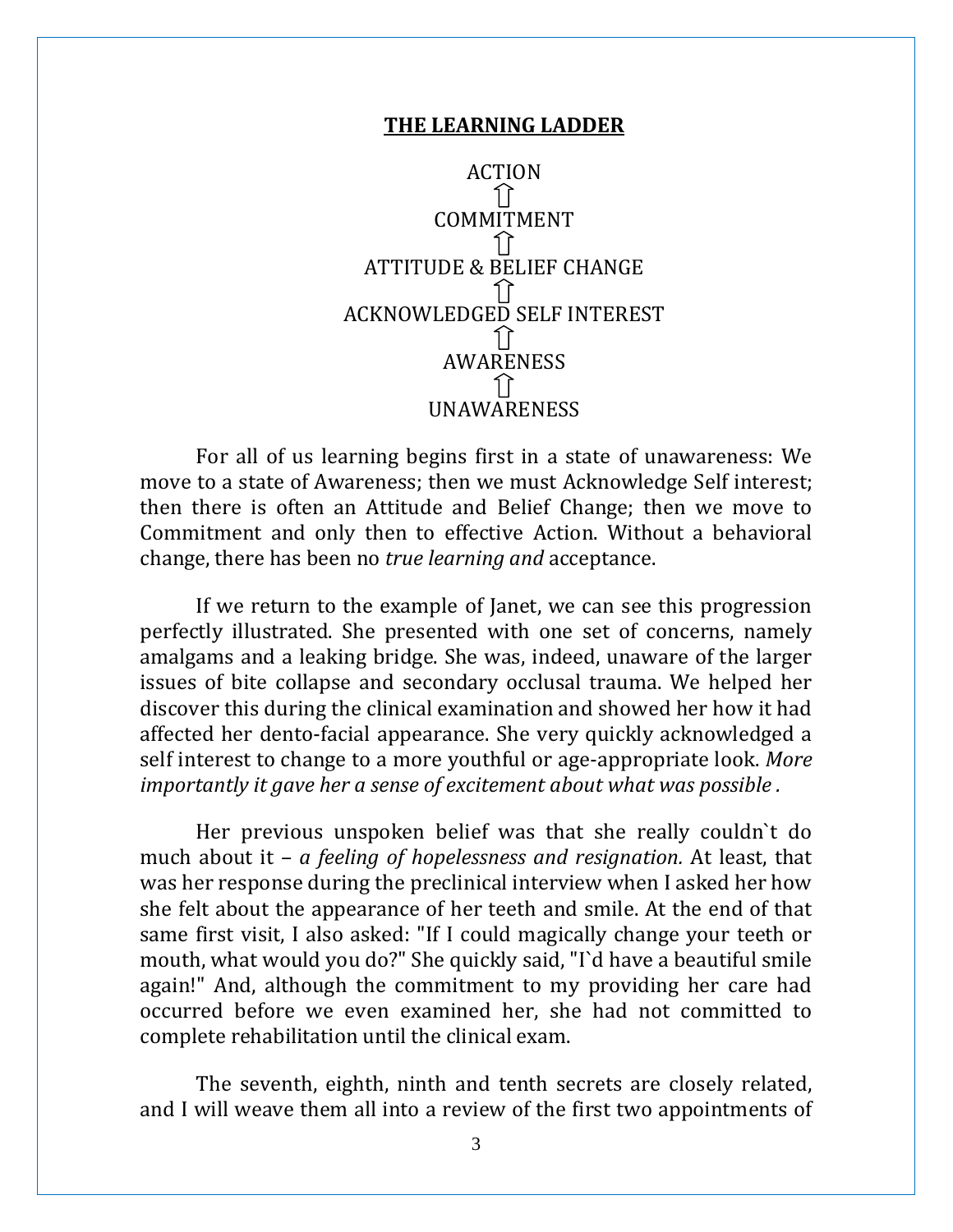#### **THE LEARNING LADDER**



For all of us learning begins first in a state of unawareness: We move to a state of Awareness; then we must Acknowledge Self interest; then there is often an Attitude and Belief Change; then we move to Commitment and only then to effective Action. Without a behavioral change, there has been no *true learning and* acceptance.

If we return to the example of Janet, we can see this progression perfectly illustrated. She presented with one set of concerns, namely amalgams and a leaking bridge. She was, indeed, unaware of the larger issues of bite collapse and secondary occlusal trauma. We helped her discover this during the clinical examination and showed her how it had affected her dento-facial appearance. She very quickly acknowledged a self interest to change to a more youthful or age-appropriate look. *More importantly it gave her a sense of excitement about what was possible .*

Her previous unspoken belief was that she really couldn`t do much about it – *a feeling of hopelessness and resignation.* At least, that was her response during the preclinical interview when I asked her how she felt about the appearance of her teeth and smile. At the end of that same first visit, I also asked: "If I could magically change your teeth or mouth, what would you do?" She quickly said, "I`d have a beautiful smile again!" And, although the commitment to my providing her care had occurred before we even examined her, she had not committed to complete rehabilitation until the clinical exam.

The seventh, eighth, ninth and tenth secrets are closely related, and I will weave them all into a review of the first two appointments of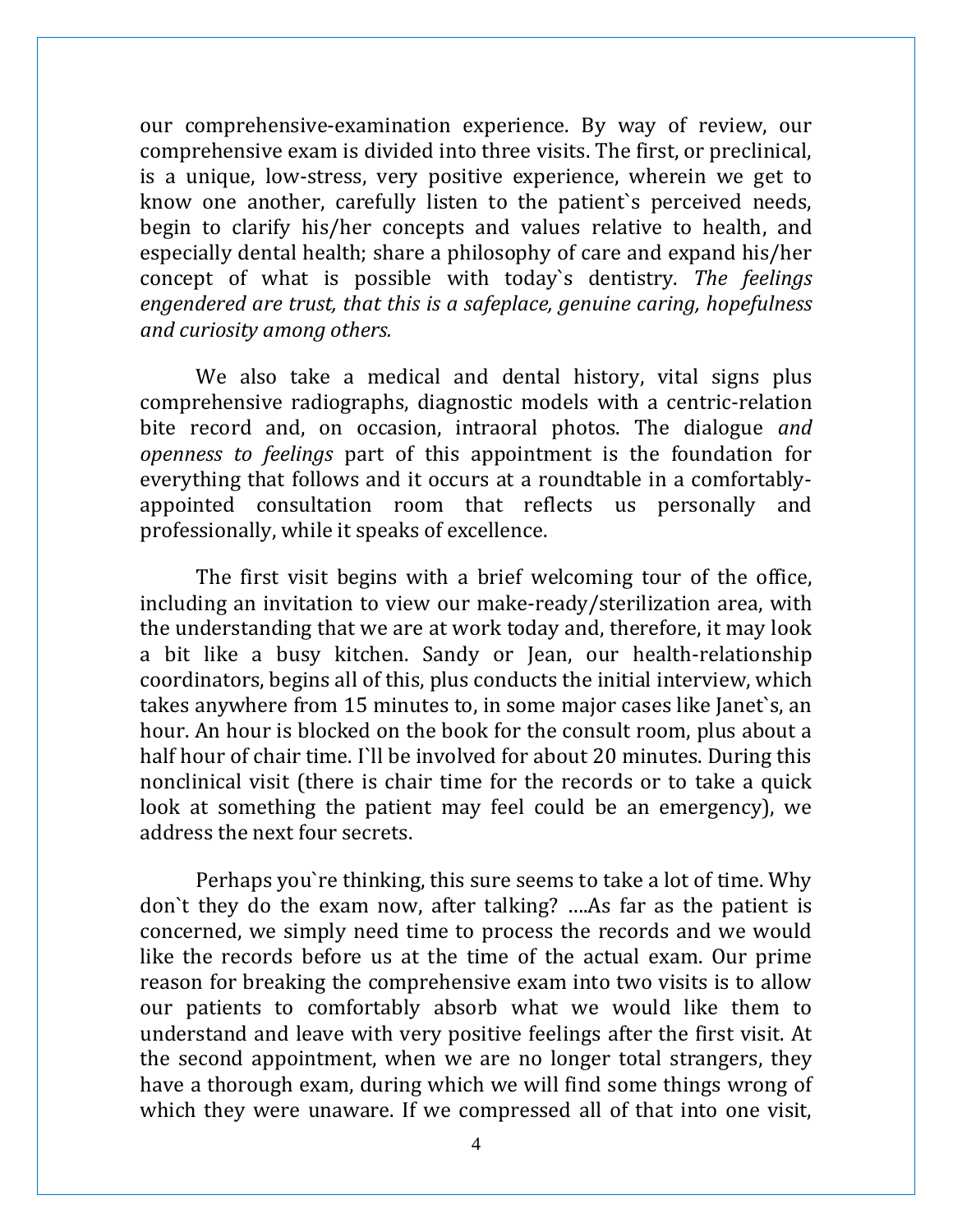our comprehensive-examination experience. By way of review, our comprehensive exam is divided into three visits. The first, or preclinical, is a unique, low-stress, very positive experience, wherein we get to know one another, carefully listen to the patient`s perceived needs, begin to clarify his/her concepts and values relative to health, and especially dental health; share a philosophy of care and expand his/her concept of what is possible with today`s dentistry. *The feelings engendered are trust, that this is a safeplace, genuine caring, hopefulness and curiosity among others.*

We also take a medical and dental history, vital signs plus comprehensive radiographs, diagnostic models with a centric-relation bite record and, on occasion, intraoral photos. The dialogue *and openness to feelings* part of this appointment is the foundation for everything that follows and it occurs at a roundtable in a comfortablyappointed consultation room that reflects us personally and professionally, while it speaks of excellence.

The first visit begins with a brief welcoming tour of the office, including an invitation to view our make-ready/sterilization area, with the understanding that we are at work today and, therefore, it may look a bit like a busy kitchen. Sandy or Jean, our health-relationship coordinators, begins all of this, plus conducts the initial interview, which takes anywhere from 15 minutes to, in some major cases like Janet`s, an hour. An hour is blocked on the book for the consult room, plus about a half hour of chair time. I`ll be involved for about 20 minutes. During this nonclinical visit (there is chair time for the records or to take a quick look at something the patient may feel could be an emergency), we address the next four secrets.

Perhaps you`re thinking, this sure seems to take a lot of time. Why don`t they do the exam now, after talking? ….As far as the patient is concerned, we simply need time to process the records and we would like the records before us at the time of the actual exam. Our prime reason for breaking the comprehensive exam into two visits is to allow our patients to comfortably absorb what we would like them to understand and leave with very positive feelings after the first visit. At the second appointment, when we are no longer total strangers, they have a thorough exam, during which we will find some things wrong of which they were unaware. If we compressed all of that into one visit,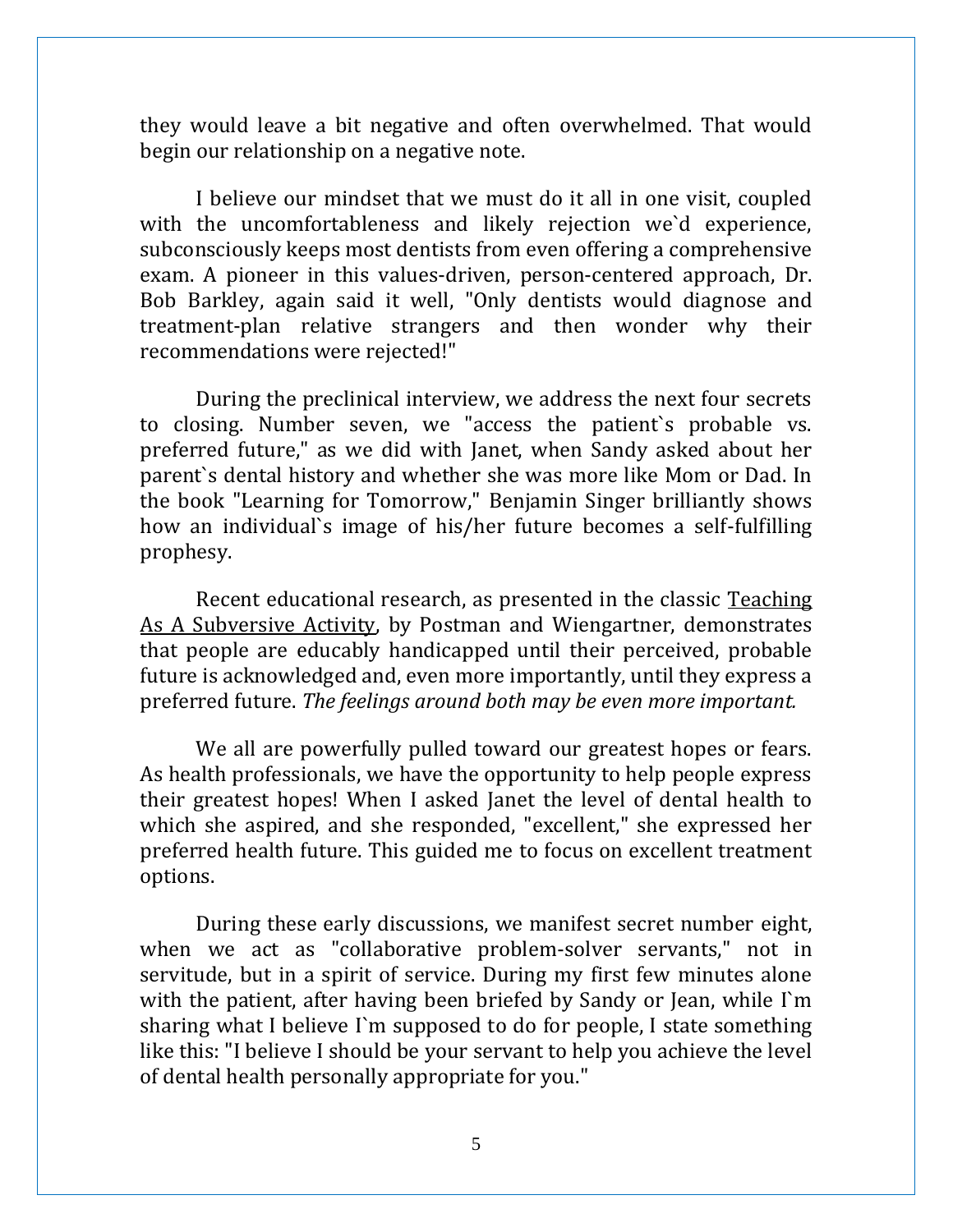they would leave a bit negative and often overwhelmed. That would begin our relationship on a negative note.

I believe our mindset that we must do it all in one visit, coupled with the uncomfortableness and likely rejection we`d experience, subconsciously keeps most dentists from even offering a comprehensive exam. A pioneer in this values-driven, person-centered approach, Dr. Bob Barkley, again said it well, "Only dentists would diagnose and treatment-plan relative strangers and then wonder why their recommendations were rejected!"

During the preclinical interview, we address the next four secrets to closing. Number seven, we "access the patient`s probable vs. preferred future," as we did with Janet, when Sandy asked about her parent`s dental history and whether she was more like Mom or Dad. In the book "Learning for Tomorrow," Benjamin Singer brilliantly shows how an individual`s image of his/her future becomes a self-fulfilling prophesy.

Recent educational research, as presented in the classic Teaching As A Subversive Activity, by Postman and Wiengartner, demonstrates that people are educably handicapped until their perceived, probable future is acknowledged and, even more importantly, until they express a preferred future. *The feelings around both may be even more important.* 

We all are powerfully pulled toward our greatest hopes or fears. As health professionals, we have the opportunity to help people express their greatest hopes! When I asked Janet the level of dental health to which she aspired, and she responded, "excellent," she expressed her preferred health future. This guided me to focus on excellent treatment options.

During these early discussions, we manifest secret number eight, when we act as "collaborative problem-solver servants," not in servitude, but in a spirit of service. During my first few minutes alone with the patient, after having been briefed by Sandy or Jean, while I'm sharing what I believe I`m supposed to do for people, I state something like this: "I believe I should be your servant to help you achieve the level of dental health personally appropriate for you."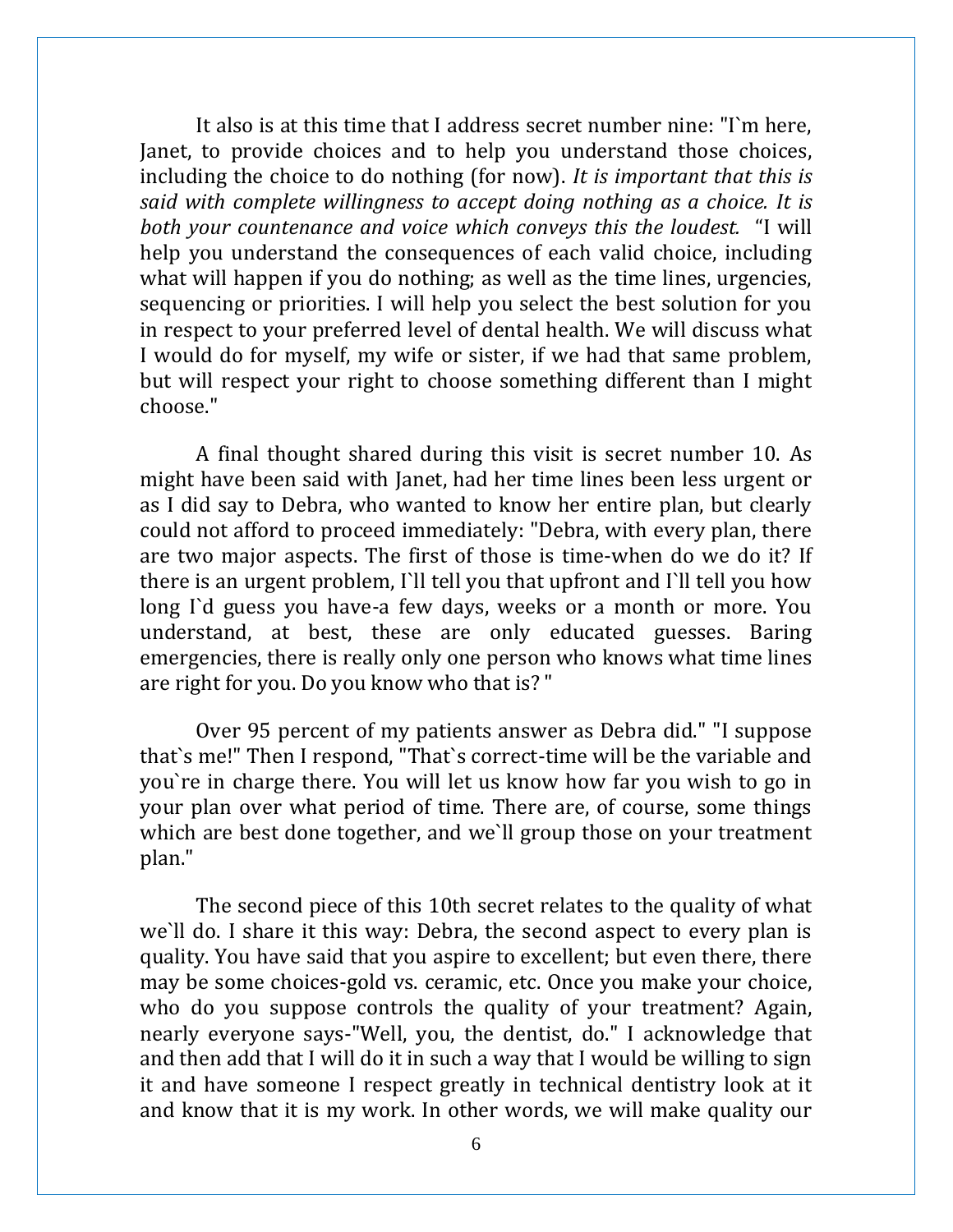It also is at this time that I address secret number nine: "I`m here, Janet, to provide choices and to help you understand those choices, including the choice to do nothing (for now). *It is important that this is said with complete willingness to accept doing nothing as a choice. It is both your countenance and voice which conveys this the loudest.* "I will help you understand the consequences of each valid choice, including what will happen if you do nothing; as well as the time lines, urgencies, sequencing or priorities. I will help you select the best solution for you in respect to your preferred level of dental health. We will discuss what I would do for myself, my wife or sister, if we had that same problem, but will respect your right to choose something different than I might choose."

A final thought shared during this visit is secret number 10. As might have been said with Janet, had her time lines been less urgent or as I did say to Debra, who wanted to know her entire plan, but clearly could not afford to proceed immediately: "Debra, with every plan, there are two major aspects. The first of those is time-when do we do it? If there is an urgent problem, I`ll tell you that upfront and I`ll tell you how long I'd guess you have-a few days, weeks or a month or more. You understand, at best, these are only educated guesses. Baring emergencies, there is really only one person who knows what time lines are right for you. Do you know who that is? "

Over 95 percent of my patients answer as Debra did." "I suppose that`s me!" Then I respond, "That`s correct-time will be the variable and you`re in charge there. You will let us know how far you wish to go in your plan over what period of time. There are, of course, some things which are best done together, and we`ll group those on your treatment plan."

The second piece of this 10th secret relates to the quality of what we`ll do. I share it this way: Debra, the second aspect to every plan is quality. You have said that you aspire to excellent; but even there, there may be some choices-gold vs. ceramic, etc. Once you make your choice, who do you suppose controls the quality of your treatment? Again, nearly everyone says-"Well, you, the dentist, do." I acknowledge that and then add that I will do it in such a way that I would be willing to sign it and have someone I respect greatly in technical dentistry look at it and know that it is my work. In other words, we will make quality our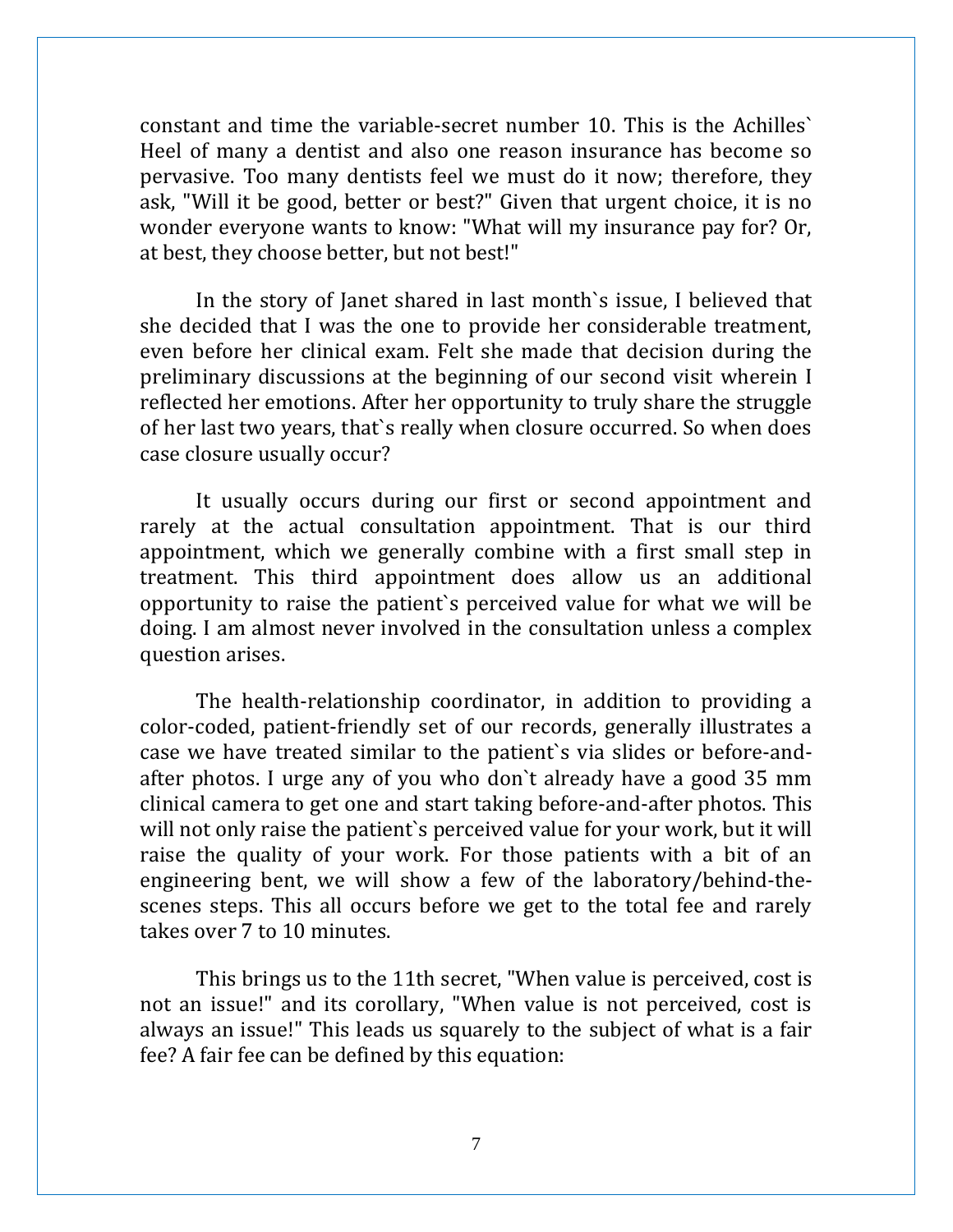constant and time the variable-secret number 10. This is the Achilles` Heel of many a dentist and also one reason insurance has become so pervasive. Too many dentists feel we must do it now; therefore, they ask, "Will it be good, better or best?" Given that urgent choice, it is no wonder everyone wants to know: "What will my insurance pay for? Or, at best, they choose better, but not best!"

In the story of Janet shared in last month`s issue, I believed that she decided that I was the one to provide her considerable treatment, even before her clinical exam. Felt she made that decision during the preliminary discussions at the beginning of our second visit wherein I reflected her emotions. After her opportunity to truly share the struggle of her last two years, that`s really when closure occurred. So when does case closure usually occur?

It usually occurs during our first or second appointment and rarely at the actual consultation appointment. That is our third appointment, which we generally combine with a first small step in treatment. This third appointment does allow us an additional opportunity to raise the patient`s perceived value for what we will be doing. I am almost never involved in the consultation unless a complex question arises.

The health-relationship coordinator, in addition to providing a color-coded, patient-friendly set of our records, generally illustrates a case we have treated similar to the patient`s via slides or before-andafter photos. I urge any of you who don`t already have a good 35 mm clinical camera to get one and start taking before-and-after photos. This will not only raise the patient`s perceived value for your work, but it will raise the quality of your work. For those patients with a bit of an engineering bent, we will show a few of the laboratory/behind-thescenes steps. This all occurs before we get to the total fee and rarely takes over 7 to 10 minutes.

This brings us to the 11th secret, "When value is perceived, cost is not an issue!" and its corollary, "When value is not perceived, cost is always an issue!" This leads us squarely to the subject of what is a fair fee? A fair fee can be defined by this equation: